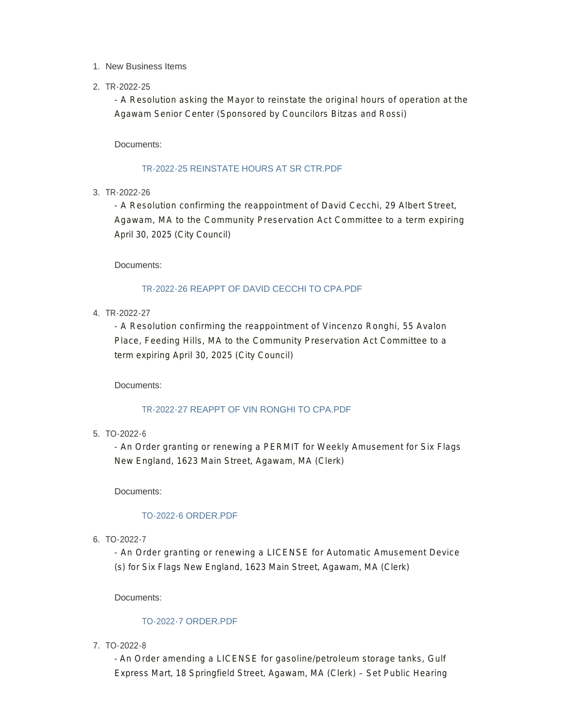#### 1. New Business Items

#### 2. TR-2022-25

- A Resolution asking the Mayor to reinstate the original hours of operation at the Agawam Senior Center (Sponsored by Councilors Bitzas and Rossi)

Documents:

#### TR-2022-25 REINSTATE HOURS AT SR CTR PDF

3. TR-2022-26

- A Resolution confirming the reappointment of David Cecchi, 29 Albert Street, Agawam, MA to the Community Preservation Act Committee to a term expiring April 30, 2025 (City Council)

Documents:

#### TR-2022-26 REAPPT OF DAVID CECCHI TO CPA.PDF

4. TR-2022-27

- A Resolution confirming the reappointment of Vincenzo Ronghi, 55 Avalon Place, Feeding Hills, MA to the Community Preservation Act Committee to a term expiring April 30, 2025 (City Council)

#### Documents:

#### TR-2022-27 REAPPT OF VIN RONGHI TO CPA.PDF

TO-2022-6 5.

- An Order granting or renewing a PERMIT for Weekly Amusement for Six Flags New England, 1623 Main Street, Agawam, MA (Clerk)

Documents:

#### TO-2022-6 ORDER.PDF

TO-2022-7 6.

- An Order granting or renewing a LICENSE for Automatic Amusement Device (s) for Six Flags New England, 1623 Main Street, Agawam, MA (Clerk)

Documents:

#### TO-2022-7 ORDER.PDF

TO-2022-8 7.

- An Order amending a LICENSE for gasoline/petroleum storage tanks, Gulf Express Mart, 18 Springfield Street, Agawam, MA (Clerk) – Set Public Hearing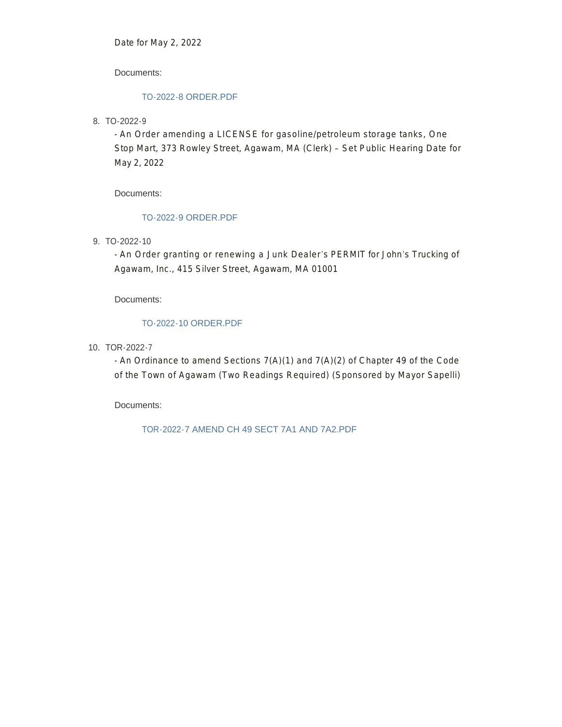Date for May 2, 2022

Documents:

#### TO-2022-8 ORDER.PDF

TO-2022-9 8.

- An Order amending a LICENSE for gasoline/petroleum storage tanks, One Stop Mart, 373 Rowley Street, Agawam, MA (Clerk) – Set Public Hearing Date for May 2, 2022

Documents:

#### TO-2022-9 ORDER.PDF

TO-2022-10 9.

- An Order granting or renewing a Junk Dealer's PERMIT for John's Trucking of Agawam, Inc., 415 Silver Street, Agawam, MA 01001

Documents:

#### TO-2022-10 ORDER.PDF

10. TOR-2022-7

- An Ordinance to amend Sections 7(A)(1) and 7(A)(2) of Chapter 49 of the Code of the Town of Agawam (Two Readings Required) (Sponsored by Mayor Sapelli)

Documents:

TOR-2022-7 AMEND CH 49 SECT 7A1 AND 7A2.PDF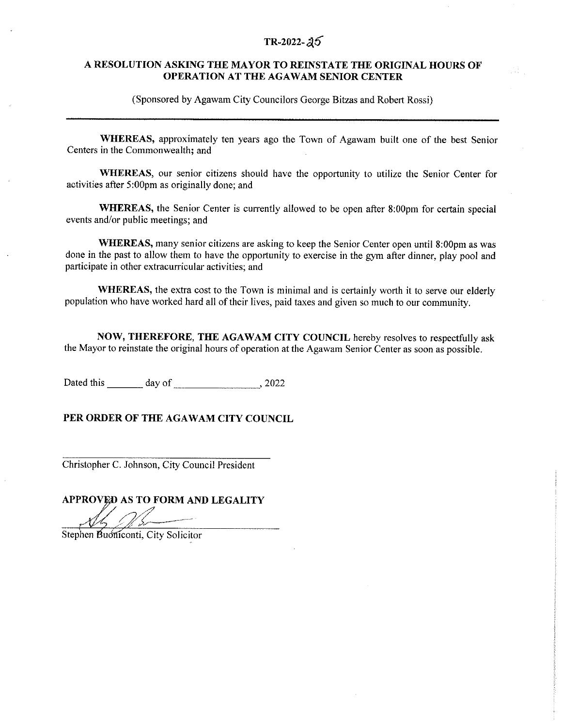### $TR-2022 - 25$

#### A RESOLUTION ASKING THE MAYOR TO REINSTATE THE ORIGINAL HOURS OF OPERATION AT THE AGAWAM SENIOR CENTER

(Sponsored by Agawam City Councilors George Bitzas and Robert Rossi)

WHEREAS, approximately ten years ago the Town of Agawam built one of the best Senior Centers in the Commonwealth; and

WHEREAS, our senior citizens should have the opportunity to utilize the Senior Center for activities after 5:00pm as originally done; and

**WHEREAS**, the Senior Center is currently allowed to be open after 8:00pm for certain special events and/or public meetings; and

WHEREAS, many senior citizens are asking to keep the Senior Center open until 8:00pm as was done in the past to allow them to have the opportunity to exercise in the gym after dinner, play pool and participate in other extracurricular activities; and

**WHEREAS**, the extra cost to the Town is minimal and is certainly worth it to serve our elderly population who have worked hard all of their lives, paid taxes and given so much to our community.

NOW, THEREFORE, THE AGAWAM CITY COUNCIL hereby resolves to respectfully ask the Mayor to reinstate the original hours of operation at the Agawam Senior Center as soon as possible.

Dated this day of 3022

PER ORDER OF THE AGAWAM CITY COUNCIL

Christopher C. Johnson, City Council President

APPROVED AS TO FORM AND LEGALITY

Stephen Buoniconti, City Solicitor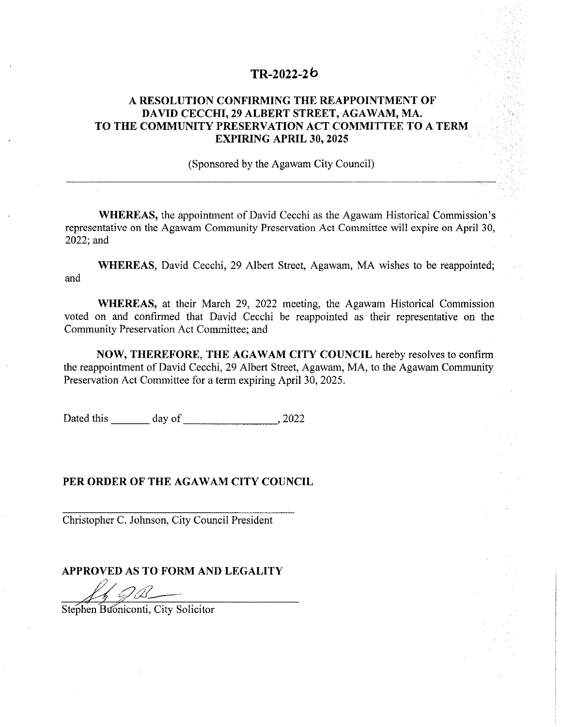### $TR-2022-26$

### A RESOLUTION CONFIRMING THE REAPPOINTMENT OF DAVID CECCHI, 29 ALBERT STREET, AGAWAM, MA. TO THE COMMUNITY PRESERVATION ACT COMMITTEE TO A TERM **EXPIRING APRIL 30, 2025**

(Sponsored by the Agawam City Council)

**WHEREAS**, the appointment of David Cecchi as the Agawam Historical Commission's representative on the Agawam Community Preservation Act Committee will expire on April 30, 2022; and

WHEREAS, David Cecchi, 29 Albert Street, Agawam, MA wishes to be reappointed; and

WHEREAS, at their March 29, 2022 meeting, the Agawam Historical Commission voted on and confirmed that David Cecchi be reappointed as their representative on the Community Preservation Act Committee; and

NOW, THEREFORE, THE AGAWAM CITY COUNCIL hereby resolves to confirm the reappointment of David Cecchi, 29 Albert Street, Agawam, MA, to the Agawam Community Preservation Act Committee for a term expiring April 30, 2025.

Dated this day of 3022

### PER ORDER OF THE AGAWAM CITY COUNCIL

Christopher C. Johnson, City Council President

#### APPROVED AS TO FORM AND LEGALITY

 $20 -$ 

Stephen Buoniconti, City Solicitor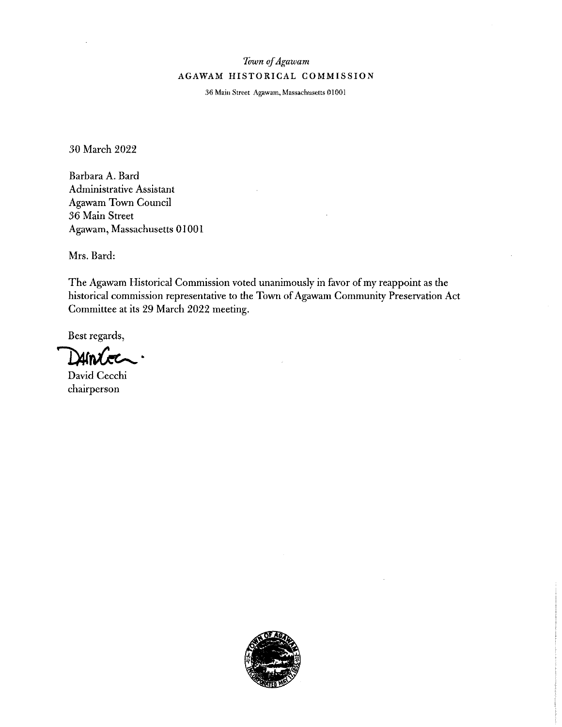## Town of Agawam AGAWAM HISTORICAL COMMISSION

36 Main Street Agawam, Massachusetts 01001

30 March 2022

Barbara A. Bard Administrative Assistant Agawam Town Council 36 Main Street Agawam, Massachusetts 01001

Mrs. Bard:

The Agawam Historical Commission voted unanimously in favor of my reappoint as the historical commission representative to the Town of Agawam Community Preservation Act Committee at its 29 March 2022 meeting.

Best regards,

บเก

David Cecchi chairperson

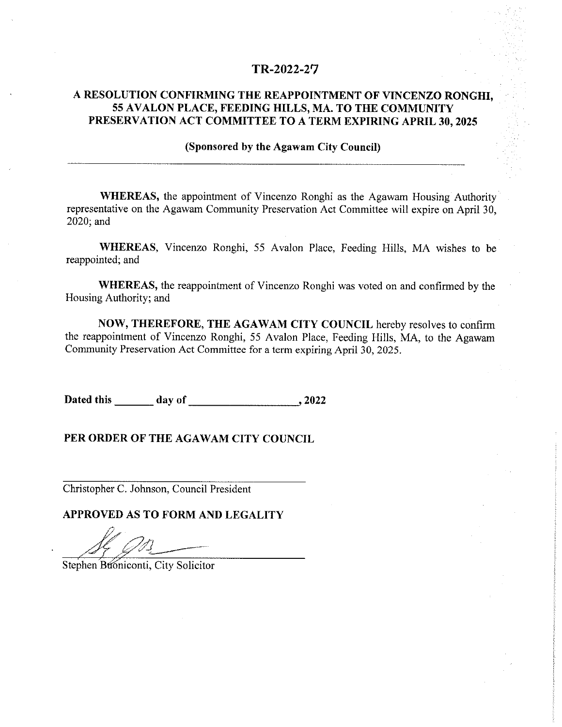### TR-2022-27

### A RESOLUTION CONFIRMING THE REAPPOINTMENT OF VINCENZO RONGHI, 55 AVALON PLACE, FEEDING HILLS, MA. TO THE COMMUNITY PRESERVATION ACT COMMITTEE TO A TERM EXPIRING APRIL 30, 2025

#### (Sponsored by the Agawam City Council)

WHEREAS, the appointment of Vincenzo Ronghi as the Agawam Housing Authority representative on the Agawam Community Preservation Act Committee will expire on April 30, 2020; and

WHEREAS, Vincenzo Ronghi, 55 Avalon Place, Feeding Hills, MA wishes to be reappointed; and

WHEREAS, the reappointment of Vincenzo Ronghi was voted on and confirmed by the Housing Authority; and

NOW, THEREFORE, THE AGAWAM CITY COUNCIL hereby resolves to confirm the reappointment of Vincenzo Ronghi, 55 Avalon Place, Feeding Hills, MA, to the Agawam Community Preservation Act Committee for a term expiring April 30, 2025.

Dated this day of 2022

#### PER ORDER OF THE AGAWAM CITY COUNCIL

Christopher C. Johnson, Council President

Stephen Buoniconti, City Solicitor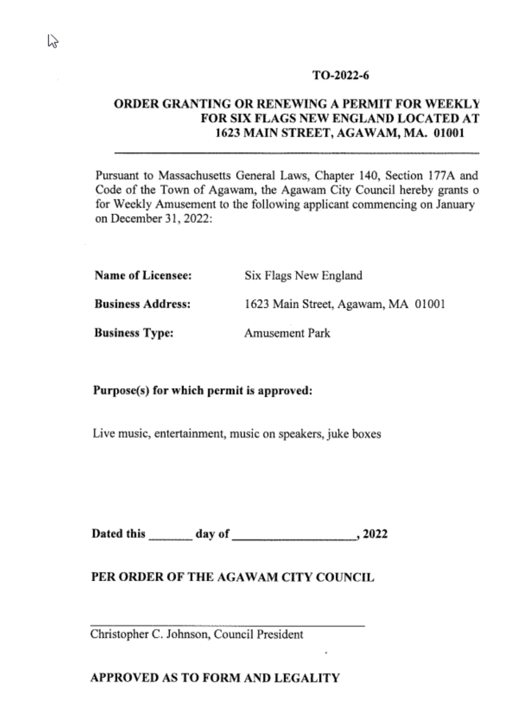# ORDER GRANTING OR RENEWING A PERMIT FOR WEEKLY FOR SIX FLAGS NEW ENGLAND LOCATED AT 1623 MAIN STREET, AGAWAM, MA. 01001

Pursuant to Massachusetts General Laws, Chapter 140, Section 177A and Code of the Town of Agawam, the Agawam City Council hereby grants of for Weekly Amusement to the following applicant commencing on January on December 31, 2022:

| <b>Name of Licensee:</b> | Six Flags New England              |  |
|--------------------------|------------------------------------|--|
| <b>Business Address:</b> | 1623 Main Street, Agawam, MA 01001 |  |
| <b>Business Type:</b>    | Amusement Park                     |  |

Purpose(s) for which permit is approved:

Live music, entertainment, music on speakers, juke boxes

## PER ORDER OF THE AGAWAM CITY COUNCIL

Christopher C. Johnson, Council President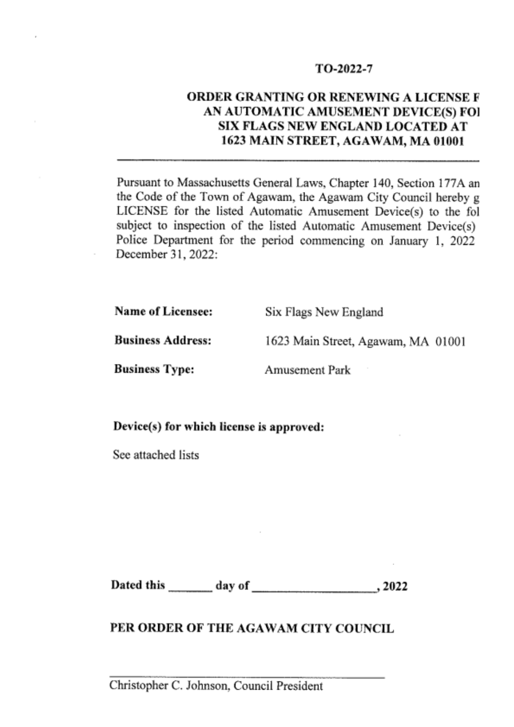# ORDER GRANTING OR RENEWING A LICENSE F AN AUTOMATIC AMUSEMENT DEVICE(S) FOI SIX FLAGS NEW ENGLAND LOCATED AT 1623 MAIN STREET, AGAWAM, MA 01001

Pursuant to Massachusetts General Laws, Chapter 140, Section 177A an the Code of the Town of Agawam, the Agawam City Council hereby g LICENSE for the listed Automatic Amusement Device(s) to the fol subject to inspection of the listed Automatic Amusement Device(s) Police Department for the period commencing on January 1, 2022 December 31, 2022:

**Name of Licensee:** 

Six Flags New England

**Business Address:** 

1623 Main Street, Agawam, MA 01001

**Business Type:** 

**Amusement Park** 

Device(s) for which license is approved:

See attached lists

Dated this \_\_\_\_\_\_\_\_\_ day of  $, 2022$ 

# PER ORDER OF THE AGAWAM CITY COUNCIL

Christopher C. Johnson, Council President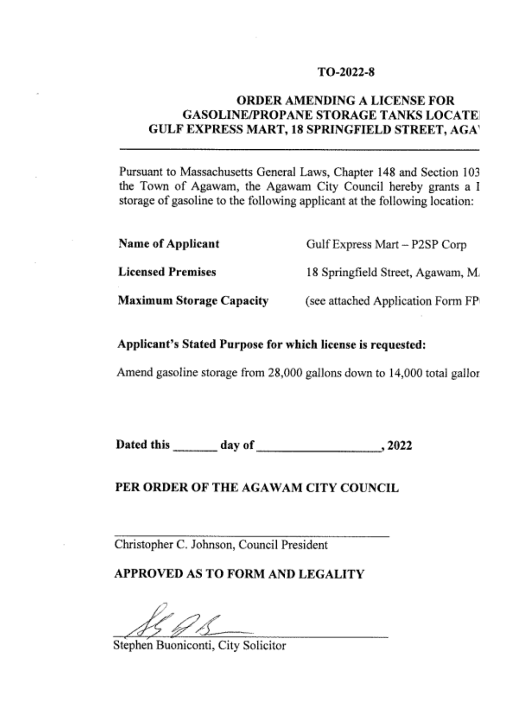# **ORDER AMENDING A LICENSE FOR GASOLINE/PROPANE STORAGE TANKS LOCATE** GULF EXPRESS MART, 18 SPRINGFIELD STREET, AGA'

Pursuant to Massachusetts General Laws, Chapter 148 and Section 103 the Town of Agawam, the Agawam City Council hereby grants a I storage of gasoline to the following applicant at the following location:

| Name of Applicant               | Gulf Express Mart - P2SP Corp     |
|---------------------------------|-----------------------------------|
| <b>Licensed Premises</b>        | 18 Springfield Street, Agawam, M. |
| <b>Maximum Storage Capacity</b> | (see attached Application Form FP |

# Applicant's Stated Purpose for which license is requested:

Amend gasoline storage from 28,000 gallons down to 14,000 total gallor

## PER ORDER OF THE AGAWAM CITY COUNCIL

Christopher C. Johnson, Council President

Stephen Buoniconti, City Solicitor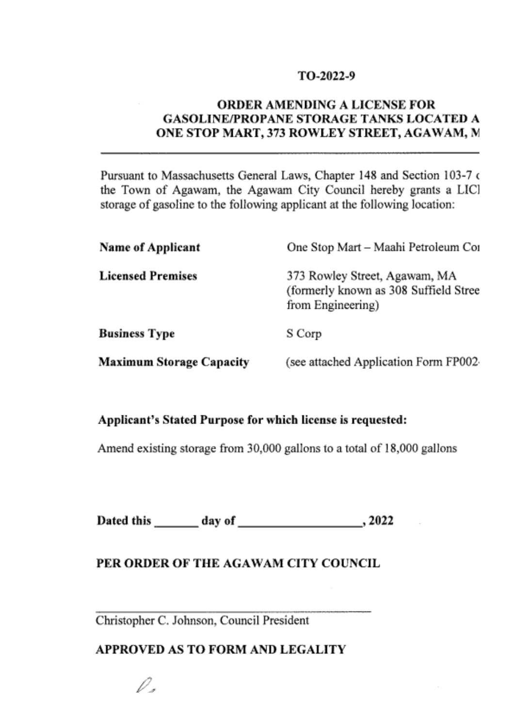# **ORDER AMENDING A LICENSE FOR GASOLINE/PROPANE STORAGE TANKS LOCATED A** ONE STOP MART, 373 ROWLEY STREET, AGAWAM, M

Pursuant to Massachusetts General Laws, Chapter 148 and Section 103-7 of the Town of Agawam, the Agawam City Council hereby grants a LICl storage of gasoline to the following applicant at the following location:

| <b>Name of Applicant</b> | One Stop Mart - Maahi Petroleum Cor                                                         |
|--------------------------|---------------------------------------------------------------------------------------------|
| <b>Licensed Premises</b> | 373 Rowley Street, Agawam, MA<br>(formerly known as 308 Suffield Stree<br>from Engineering) |
| Business Type            | S Corp                                                                                      |
| Maximum Storage Capacity | (see attached Application Form FP002-                                                       |

# Applicant's Stated Purpose for which license is requested:

Amend existing storage from 30,000 gallons to a total of 18,000 gallons

# PER ORDER OF THE AGAWAM CITY COUNCIL

Christopher C. Johnson, Council President

θ.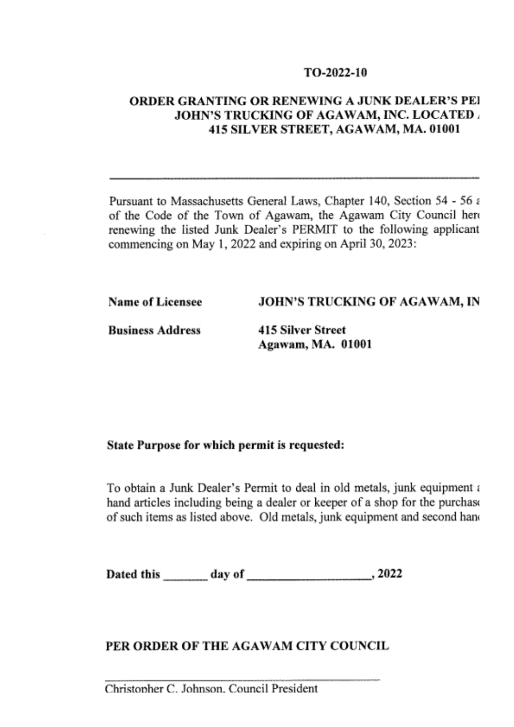# ORDER GRANTING OR RENEWING A JUNK DEALER'S PEI **JOHN'S TRUCKING OF AGAWAM, INC. LOCATED .** 415 SILVER STREET, AGAWAM, MA. 01001

Pursuant to Massachusetts General Laws, Chapter 140, Section 54 - 56 a of the Code of the Town of Agawam, the Agawam City Council here renewing the listed Junk Dealer's PERMIT to the following applicant commencing on May 1, 2022 and expiring on April 30, 2023:

**Name of Licensee** 

## JOHN'S TRUCKING OF AGAWAM, IN

**Business Address** 

**415 Silver Street** Agawam, MA. 01001

### State Purpose for which permit is requested:

To obtain a Junk Dealer's Permit to deal in old metals, junk equipment a hand articles including being a dealer or keeper of a shop for the purchase of such items as listed above. Old metals, junk equipment and second hand

Dated this day of 3022

# PER ORDER OF THE AGAWAM CITY COUNCIL